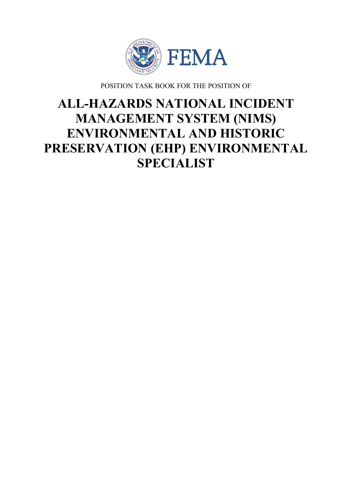

POSITION TASK BOOK FOR THE POSITION OF

# **ALL-HAZARDS NATIONAL INCIDENT MANAGEMENT SYSTEM (NIMS) ENVIRONMENTAL AND HISTORIC PRESERVATION (EHP) ENVIRONMENTAL SPECIALIST**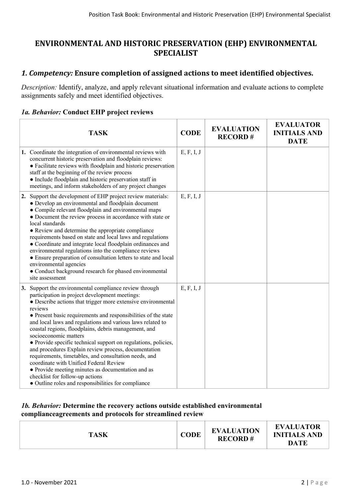# **ENVIRONMENTAL AND HISTORIC PRESERVATION (EHP) ENVIRONMENTAL SPECIALIST**

## *1. Competency:* **Ensure completion of assigned actions to meet identified objectives.**

*Description:* Identify, analyze, and apply relevant situational information and evaluate actions to complete assignments safely and meet identified objectives.

#### *1a. Behavior:* **Conduct EHP project reviews**

| <b>TASK</b>                                                                                                                                                                                                                                                                                                                                                                                                                                                                                                                                                                                                                                                                                                                                                                      | <b>CODE</b> | <b>EVALUATION</b><br><b>RECORD#</b> | <b>EVALUATOR</b><br><b>INITIALS AND</b><br><b>DATE</b> |
|----------------------------------------------------------------------------------------------------------------------------------------------------------------------------------------------------------------------------------------------------------------------------------------------------------------------------------------------------------------------------------------------------------------------------------------------------------------------------------------------------------------------------------------------------------------------------------------------------------------------------------------------------------------------------------------------------------------------------------------------------------------------------------|-------------|-------------------------------------|--------------------------------------------------------|
| 1. Coordinate the integration of environmental reviews with<br>concurrent historic preservation and floodplain reviews:<br>• Facilitate reviews with floodplain and historic preservation<br>staff at the beginning of the review process<br>• Include floodplain and historic preservation staff in<br>meetings, and inform stakeholders of any project changes                                                                                                                                                                                                                                                                                                                                                                                                                 | E, F, I, J  |                                     |                                                        |
| 2. Support the development of EHP project review materials:<br>• Develop an environmental and floodplain document<br>• Compile relevant floodplain and environmental maps<br>• Document the review process in accordance with state or<br>local standards<br>• Review and determine the appropriate compliance<br>requirements based on state and local laws and regulations<br>• Coordinate and integrate local floodplain ordinances and<br>environmental regulations into the compliance reviews<br>• Ensure preparation of consultation letters to state and local<br>environmental agencies<br>• Conduct background research for phased environmental<br>site assessment                                                                                                    | E, F, I, J  |                                     |                                                        |
| 3. Support the environmental compliance review through<br>participation in project development meetings:<br>• Describe actions that trigger more extensive environmental<br>reviews<br>• Present basic requirements and responsibilities of the state<br>and local laws and regulations and various laws related to<br>coastal regions, floodplains, debris management, and<br>socioeconomic matters<br>• Provide specific technical support on regulations, policies,<br>and procedures Explain review process, documentation<br>requirements, timetables, and consultation needs, and<br>coordinate with Unified Federal Review<br>• Provide meeting minutes as documentation and as<br>checklist for follow-up actions<br>• Outline roles and responsibilities for compliance | E, F, I, J  |                                     |                                                        |

#### *1b. Behavior:* **Determine the recovery actions outside established environmental complianceagreements and protocols for streamlined review**

| <b>TASK</b> | <b>CODE</b> | <b>EVALUATION</b><br><b>RECORD#</b> | <b>EVALUATOR</b><br><b>INITIALS AND</b><br><b>DATE</b> |
|-------------|-------------|-------------------------------------|--------------------------------------------------------|
|             |             |                                     |                                                        |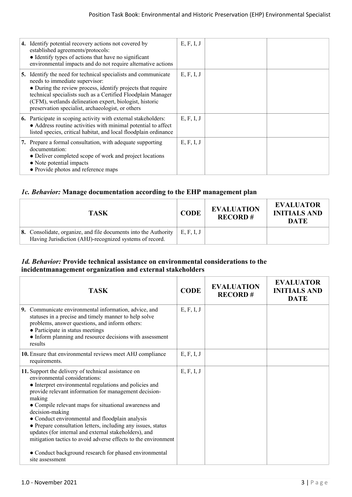|    | 4. Identify potential recovery actions not covered by<br>established agreements/protocols:<br>• Identify types of actions that have no significant<br>environmental impacts and do not require alternative actions                                                                                                                           | E, F, I, J |  |
|----|----------------------------------------------------------------------------------------------------------------------------------------------------------------------------------------------------------------------------------------------------------------------------------------------------------------------------------------------|------------|--|
| 5. | Identify the need for technical specialists and communicate<br>needs to immediate supervisor:<br>• During the review process, identify projects that require<br>technical specialists such as a Certified Floodplain Manager<br>(CFM), wetlands delineation expert, biologist, historic<br>preservation specialist, archaeologist, or others | E, F, I, J |  |
|    | <b>6.</b> Participate in scoping activity with external stakeholders:<br>• Address routine activities with minimal potential to affect<br>listed species, critical habitat, and local floodplain ordinance                                                                                                                                   | E, F, I, J |  |
|    | 7. Prepare a formal consultation, with a dequate supporting<br>documentation:<br>• Deliver completed scope of work and project locations<br>• Note potential impacts<br>• Provide photos and reference maps                                                                                                                                  | E, F, I, J |  |

### *1c. Behavior:* **Manage documentation according to the EHP management plan**

| TASK                                                                                                                                | <b>CODE</b> | <b>EVALUATION</b><br><b>RECORD#</b> | <b>EVALUATOR</b><br><b>INITIALS AND</b><br><b>DATE</b> |
|-------------------------------------------------------------------------------------------------------------------------------------|-------------|-------------------------------------|--------------------------------------------------------|
| <b>8.</b> Consolidate, organize, and file documents into the Authority  <br>Having Jurisdiction (AHJ)-recognized systems of record. | E, F, I, J  |                                     |                                                        |

#### *1d. Behavior:* **Provide technical assistance on environmental considerations to the incidentmanagement organization and external stakeholders**

| <b>TASK</b>                                                                                                                                                                                                                                                                                                                                                                                                                                                                                                                                 | <b>CODE</b> | <b>EVALUATION</b><br><b>RECORD#</b> | <b>EVALUATOR</b><br><b>INITIALS AND</b><br><b>DATE</b> |
|---------------------------------------------------------------------------------------------------------------------------------------------------------------------------------------------------------------------------------------------------------------------------------------------------------------------------------------------------------------------------------------------------------------------------------------------------------------------------------------------------------------------------------------------|-------------|-------------------------------------|--------------------------------------------------------|
| 9. Communicate environmental information, advice, and<br>statuses in a precise and timely manner to help solve<br>problems, answer questions, and inform others:<br>• Participate in status meetings<br>• Inform planning and resource decisions with assessment<br>results                                                                                                                                                                                                                                                                 | E, F, I, J  |                                     |                                                        |
| 10. Ensure that environmental reviews meet AHJ compliance<br>requirements.                                                                                                                                                                                                                                                                                                                                                                                                                                                                  | E, F, I, J  |                                     |                                                        |
| 11. Support the delivery of technical assistance on<br>environmental considerations:<br>• Interpret environmental regulations and policies and<br>provide relevant information for management decision-<br>making<br>• Compile relevant maps for situational awareness and<br>decision-making<br>• Conduct environmental and floodplain analysis<br>• Prepare consultation letters, including any issues, status<br>updates (for internal and external stakeholders), and<br>mitigation tactics to avoid adverse effects to the environment | E, F, I, J  |                                     |                                                        |
| • Conduct background research for phased environmental<br>site assessment                                                                                                                                                                                                                                                                                                                                                                                                                                                                   |             |                                     |                                                        |